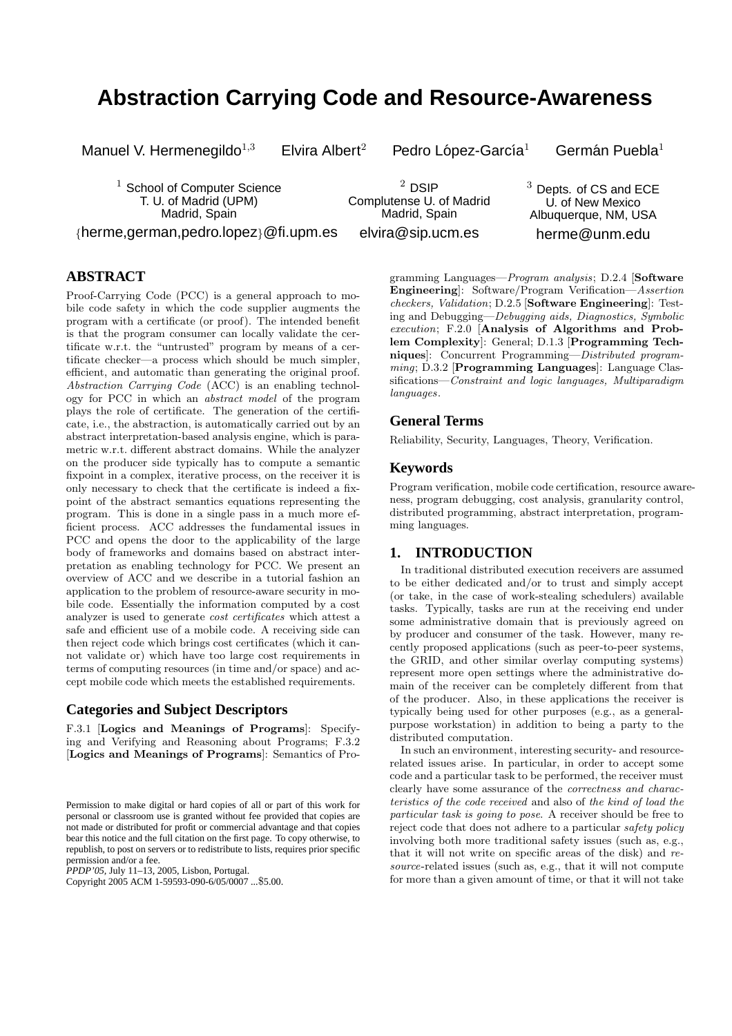# **Abstraction Carrying Code and Resource-Awareness**

Manuel V. Hermenegildo<sup>1,3</sup> Elvira Albert<sup>2</sup>

 $1$  School of Computer Science T. U. of Madrid (UPM) Madrid, Spain

{herme,german,pedro.lopez}@fi.upm.es

# **ABSTRACT**

Proof-Carrying Code (PCC) is a general approach to mobile code safety in which the code supplier augments the program with a certificate (or proof). The intended benefit is that the program consumer can locally validate the certificate w.r.t. the "untrusted" program by means of a certificate checker—a process which should be much simpler, efficient, and automatic than generating the original proof. Abstraction Carrying Code (ACC) is an enabling technology for PCC in which an abstract model of the program plays the role of certificate. The generation of the certificate, i.e., the abstraction, is automatically carried out by an abstract interpretation-based analysis engine, which is parametric w.r.t. different abstract domains. While the analyzer on the producer side typically has to compute a semantic fixpoint in a complex, iterative process, on the receiver it is only necessary to check that the certificate is indeed a fixpoint of the abstract semantics equations representing the program. This is done in a single pass in a much more efficient process. ACC addresses the fundamental issues in PCC and opens the door to the applicability of the large body of frameworks and domains based on abstract interpretation as enabling technology for PCC. We present an overview of ACC and we describe in a tutorial fashion an application to the problem of resource-aware security in mobile code. Essentially the information computed by a cost analyzer is used to generate cost certificates which attest a safe and efficient use of a mobile code. A receiving side can then reject code which brings cost certificates (which it cannot validate or) which have too large cost requirements in terms of computing resources (in time and/or space) and accept mobile code which meets the established requirements.

#### **Categories and Subject Descriptors**

F.3.1 [Logics and Meanings of Programs]: Specifying and Verifying and Reasoning about Programs; F.3.2 [Logics and Meanings of Programs]: Semantics of Pro-

*PPDP'05,* July 11–13, 2005, Lisbon, Portugal.

Copyright 2005 ACM 1-59593-090-6/05/0007 ...\$5.00.

Pedro López-García $^1$  Germán Puebla<sup>1</sup>

 $<sup>2</sup>$  DSIP</sup> Complutense U. of Madrid Madrid, Spain elvira@sip.ucm.es

 $3$  Depts. of CS and ECE

U. of New Mexico Albuquerque, NM, USA herme@unm.edu

gramming Languages—*Program analysis*; D.2.4 [Software Engineering]: Software/Program Verification—Assertion checkers, Validation; D.2.5 [Software Engineering]: Testing and Debugging—Debugging aids, Diagnostics, Symbolic execution; F.2.0 [Analysis of Algorithms and Problem Complexity]: General; D.1.3 [Programming Techniques]: Concurrent Programming—Distributed programming; D.3.2 [Programming Languages]: Language Classifications—Constraint and logic languages, Multiparadigm languages.

## **General Terms**

Reliability, Security, Languages, Theory, Verification.

#### **Keywords**

Program verification, mobile code certification, resource awareness, program debugging, cost analysis, granularity control, distributed programming, abstract interpretation, programming languages.

### **1. INTRODUCTION**

In traditional distributed execution receivers are assumed to be either dedicated and/or to trust and simply accept (or take, in the case of work-stealing schedulers) available tasks. Typically, tasks are run at the receiving end under some administrative domain that is previously agreed on by producer and consumer of the task. However, many recently proposed applications (such as peer-to-peer systems, the GRID, and other similar overlay computing systems) represent more open settings where the administrative domain of the receiver can be completely different from that of the producer. Also, in these applications the receiver is typically being used for other purposes (e.g., as a generalpurpose workstation) in addition to being a party to the distributed computation.

In such an environment, interesting security- and resourcerelated issues arise. In particular, in order to accept some code and a particular task to be performed, the receiver must clearly have some assurance of the correctness and characteristics of the code received and also of the kind of load the particular task is going to pose. A receiver should be free to reject code that does not adhere to a particular safety policy involving both more traditional safety issues (such as, e.g., that it will not write on specific areas of the disk) and resource-related issues (such as, e.g., that it will not compute for more than a given amount of time, or that it will not take

Permission to make digital or hard copies of all or part of this work for personal or classroom use is granted without fee provided that copies are not made or distributed for profit or commercial advantage and that copies bear this notice and the full citation on the first page. To copy otherwise, to republish, to post on servers or to redistribute to lists, requires prior specific permission and/or a fee.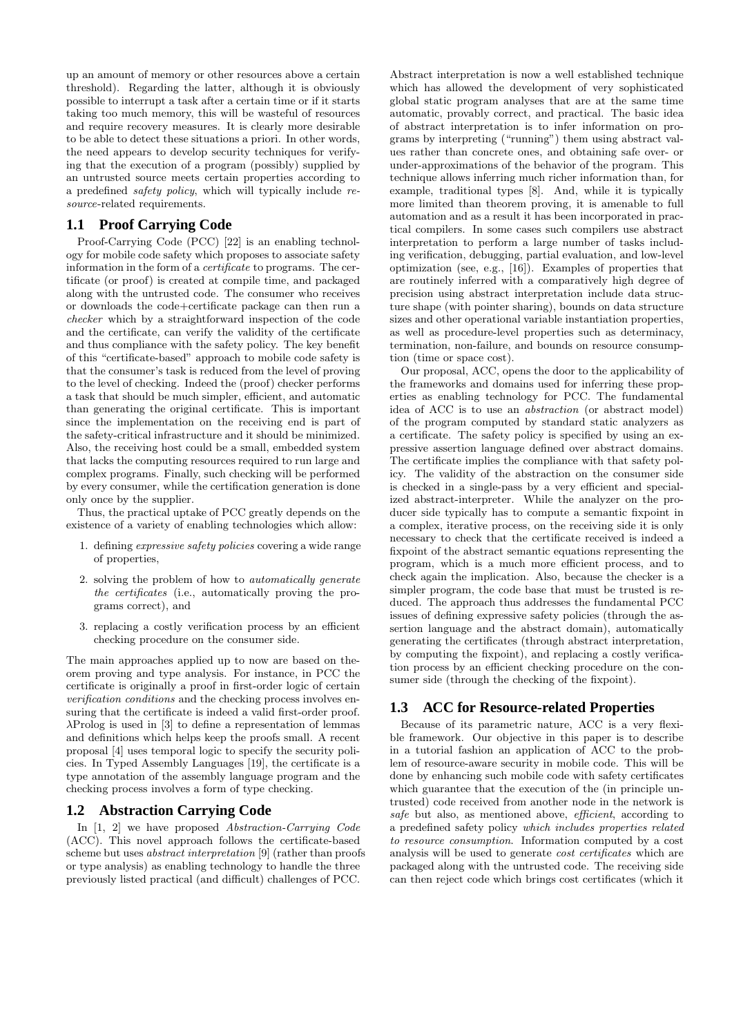up an amount of memory or other resources above a certain threshold). Regarding the latter, although it is obviously possible to interrupt a task after a certain time or if it starts taking too much memory, this will be wasteful of resources and require recovery measures. It is clearly more desirable to be able to detect these situations a priori. In other words, the need appears to develop security techniques for verifying that the execution of a program (possibly) supplied by an untrusted source meets certain properties according to a predefined safety policy, which will typically include resource-related requirements.

# **1.1 Proof Carrying Code**

Proof-Carrying Code (PCC) [22] is an enabling technology for mobile code safety which proposes to associate safety information in the form of a *certificate* to programs. The certificate (or proof) is created at compile time, and packaged along with the untrusted code. The consumer who receives or downloads the code+certificate package can then run a checker which by a straightforward inspection of the code and the certificate, can verify the validity of the certificate and thus compliance with the safety policy. The key benefit of this "certificate-based" approach to mobile code safety is that the consumer's task is reduced from the level of proving to the level of checking. Indeed the (proof) checker performs a task that should be much simpler, efficient, and automatic than generating the original certificate. This is important since the implementation on the receiving end is part of the safety-critical infrastructure and it should be minimized. Also, the receiving host could be a small, embedded system that lacks the computing resources required to run large and complex programs. Finally, such checking will be performed by every consumer, while the certification generation is done only once by the supplier.

Thus, the practical uptake of PCC greatly depends on the existence of a variety of enabling technologies which allow:

- 1. defining expressive safety policies covering a wide range of properties,
- 2. solving the problem of how to automatically generate the certificates (i.e., automatically proving the programs correct), and
- 3. replacing a costly verification process by an efficient checking procedure on the consumer side.

The main approaches applied up to now are based on theorem proving and type analysis. For instance, in PCC the certificate is originally a proof in first-order logic of certain verification conditions and the checking process involves ensuring that the certificate is indeed a valid first-order proof.  $\lambda$ Prolog is used in [3] to define a representation of lemmas and definitions which helps keep the proofs small. A recent proposal [4] uses temporal logic to specify the security policies. In Typed Assembly Languages [19], the certificate is a type annotation of the assembly language program and the checking process involves a form of type checking.

# **1.2 Abstraction Carrying Code**

In [1, 2] we have proposed *Abstraction-Carrying Code* (ACC). This novel approach follows the certificate-based scheme but uses abstract interpretation [9] (rather than proofs or type analysis) as enabling technology to handle the three previously listed practical (and difficult) challenges of PCC.

Abstract interpretation is now a well established technique which has allowed the development of very sophisticated global static program analyses that are at the same time automatic, provably correct, and practical. The basic idea of abstract interpretation is to infer information on programs by interpreting ("running") them using abstract values rather than concrete ones, and obtaining safe over- or under-approximations of the behavior of the program. This technique allows inferring much richer information than, for example, traditional types [8]. And, while it is typically more limited than theorem proving, it is amenable to full automation and as a result it has been incorporated in practical compilers. In some cases such compilers use abstract interpretation to perform a large number of tasks including verification, debugging, partial evaluation, and low-level optimization (see, e.g., [16]). Examples of properties that are routinely inferred with a comparatively high degree of precision using abstract interpretation include data structure shape (with pointer sharing), bounds on data structure sizes and other operational variable instantiation properties, as well as procedure-level properties such as determinacy, termination, non-failure, and bounds on resource consumption (time or space cost).

Our proposal, ACC, opens the door to the applicability of the frameworks and domains used for inferring these properties as enabling technology for PCC. The fundamental idea of ACC is to use an abstraction (or abstract model) of the program computed by standard static analyzers as a certificate. The safety policy is specified by using an expressive assertion language defined over abstract domains. The certificate implies the compliance with that safety policy. The validity of the abstraction on the consumer side is checked in a single-pass by a very efficient and specialized abstract-interpreter. While the analyzer on the producer side typically has to compute a semantic fixpoint in a complex, iterative process, on the receiving side it is only necessary to check that the certificate received is indeed a fixpoint of the abstract semantic equations representing the program, which is a much more efficient process, and to check again the implication. Also, because the checker is a simpler program, the code base that must be trusted is reduced. The approach thus addresses the fundamental PCC issues of defining expressive safety policies (through the assertion language and the abstract domain), automatically generating the certificates (through abstract interpretation, by computing the fixpoint), and replacing a costly verification process by an efficient checking procedure on the consumer side (through the checking of the fixpoint).

# **1.3 ACC for Resource-related Properties**

Because of its parametric nature, ACC is a very flexible framework. Our objective in this paper is to describe in a tutorial fashion an application of ACC to the problem of resource-aware security in mobile code. This will be done by enhancing such mobile code with safety certificates which guarantee that the execution of the (in principle untrusted) code received from another node in the network is safe but also, as mentioned above, *efficient*, according to a predefined safety policy which includes properties related to resource consumption. Information computed by a cost analysis will be used to generate cost certificates which are packaged along with the untrusted code. The receiving side can then reject code which brings cost certificates (which it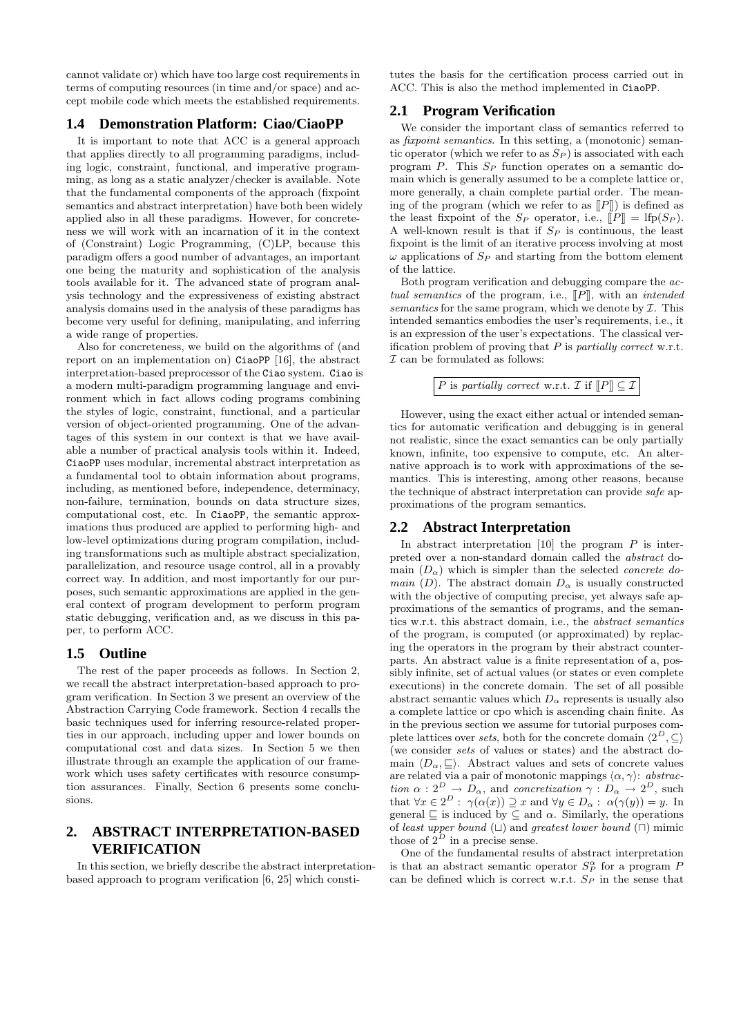cannot validate or) which have too large cost requirements in terms of computing resources (in time and/or space) and accept mobile code which meets the established requirements.

## **1.4 Demonstration Platform: Ciao/CiaoPP**

It is important to note that ACC is a general approach that applies directly to all programming paradigms, including logic, constraint, functional, and imperative programming, as long as a static analyzer/checker is available. Note that the fundamental components of the approach (fixpoint semantics and abstract interpretation) have both been widely applied also in all these paradigms. However, for concreteness we will work with an incarnation of it in the context of (Constraint) Logic Programming, (C)LP, because this paradigm offers a good number of advantages, an important one being the maturity and sophistication of the analysis tools available for it. The advanced state of program analysis technology and the expressiveness of existing abstract analysis domains used in the analysis of these paradigms has become very useful for defining, manipulating, and inferring a wide range of properties.

Also for concreteness, we build on the algorithms of (and report on an implementation on) CiaoPP [16], the abstract interpretation-based preprocessor of the Ciao system. Ciao is a modern multi-paradigm programming language and environment which in fact allows coding programs combining the styles of logic, constraint, functional, and a particular version of object-oriented programming. One of the advantages of this system in our context is that we have available a number of practical analysis tools within it. Indeed, CiaoPP uses modular, incremental abstract interpretation as a fundamental tool to obtain information about programs, including, as mentioned before, independence, determinacy, non-failure, termination, bounds on data structure sizes, computational cost, etc. In CiaoPP, the semantic approximations thus produced are applied to performing high- and low-level optimizations during program compilation, including transformations such as multiple abstract specialization, parallelization, and resource usage control, all in a provably correct way. In addition, and most importantly for our purposes, such semantic approximations are applied in the general context of program development to perform program static debugging, verification and, as we discuss in this paper, to perform ACC.

## **1.5 Outline**

The rest of the paper proceeds as follows. In Section 2, we recall the abstract interpretation-based approach to program verification. In Section 3 we present an overview of the Abstraction Carrying Code framework. Section 4 recalls the basic techniques used for inferring resource-related properties in our approach, including upper and lower bounds on computational cost and data sizes. In Section 5 we then illustrate through an example the application of our framework which uses safety certificates with resource consumption assurances. Finally, Section 6 presents some conclusions.

# **2. ABSTRACT INTERPRETATION-BASED VERIFICATION**

In this section, we briefly describe the abstract interpretationbased approach to program verification [6, 25] which constitutes the basis for the certification process carried out in ACC. This is also the method implemented in CiaoPP.

#### **2.1 Program Verification**

We consider the important class of semantics referred to as fixpoint semantics. In this setting, a (monotonic) semantic operator (which we refer to as  $S_P$ ) is associated with each program  $P$ . This  $S_P$  function operates on a semantic domain which is generally assumed to be a complete lattice or, more generally, a chain complete partial order. The meaning of the program (which we refer to as  $[$ P $]$ ) is defined as the least fixpoint of the  $S_P$  operator, i.e.,  $||P|| = \text{lfp}(S_P)$ . A well-known result is that if  $S_P$  is continuous, the least fixpoint is the limit of an iterative process involving at most  $\omega$  applications of  $S_P$  and starting from the bottom element of the lattice.

Both program verification and debugging compare the actual semantics of the program, i.e.,  $\llbracket P \rrbracket$ , with an *intended* semantics for the same program, which we denote by  $\mathcal I$ . This intended semantics embodies the user's requirements, i.e., it is an expression of the user's expectations. The classical verification problem of proving that  $P$  is partially correct w.r.t.  $\mathcal I$  can be formulated as follows:

P is partially correct w.r.t. I if  $[|P|] \subseteq \mathcal{I}$ 

However, using the exact either actual or intended semantics for automatic verification and debugging is in general not realistic, since the exact semantics can be only partially known, infinite, too expensive to compute, etc. An alternative approach is to work with approximations of the semantics. This is interesting, among other reasons, because the technique of abstract interpretation can provide safe approximations of the program semantics.

#### **2.2 Abstract Interpretation**

In abstract interpretation  $[10]$  the program  $P$  is interpreted over a non-standard domain called the abstract domain  $(D_{\alpha})$  which is simpler than the selected *concrete domain* (D). The abstract domain  $D_{\alpha}$  is usually constructed with the objective of computing precise, yet always safe approximations of the semantics of programs, and the semantics w.r.t. this abstract domain, i.e., the abstract semantics of the program, is computed (or approximated) by replacing the operators in the program by their abstract counterparts. An abstract value is a finite representation of a, possibly infinite, set of actual values (or states or even complete executions) in the concrete domain. The set of all possible abstract semantic values which  $D_{\alpha}$  represents is usually also a complete lattice or cpo which is ascending chain finite. As in the previous section we assume for tutorial purposes complete lattices over sets, both for the concrete domain  $\langle 2^D, \subseteq \rangle$ (we consider sets of values or states) and the abstract domain  $\langle D_\alpha, \underline{\square} \rangle$ . Abstract values and sets of concrete values are related via a pair of monotonic mappings  $\langle \alpha, \gamma \rangle$ : abstraction  $\alpha: 2^D \to D_\alpha$ , and concretization  $\gamma: D_\alpha \to 2^D$ , such that  $\forall x \in 2^D : \gamma(\alpha(x)) \supseteq x$  and  $\forall y \in D_\alpha : \alpha(\gamma(y)) = y$ . In general  $\sqsubseteq$  is induced by  $\subseteq$  and  $\alpha$ . Similarly, the operations of least upper bound  $(\sqcup)$  and greatest lower bound  $(\sqcap)$  mimic those of  $2^D$  in a precise sense.

One of the fundamental results of abstract interpretation is that an abstract semantic operator  $S_P^{\alpha}$  for a program P can be defined which is correct w.r.t.  $S_P$  in the sense that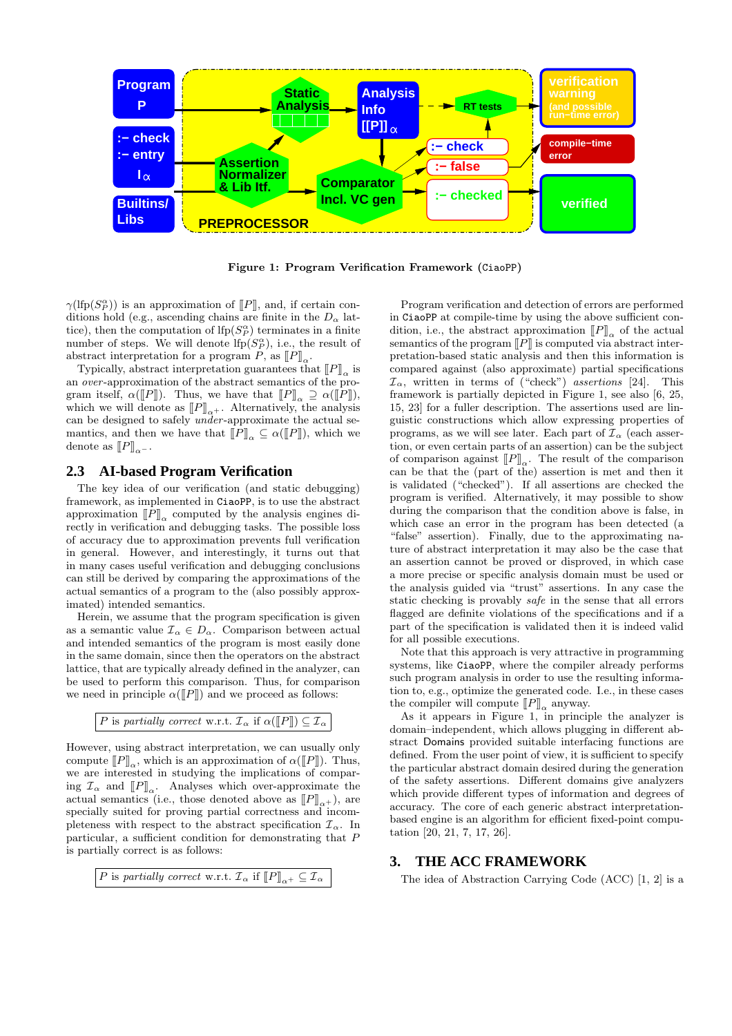

Figure 1: Program Verification Framework (CiaoPP)

 $\gamma(\text{Ifp}(S_P^{\alpha}))$  is an approximation of  $[[P]],$  and, if certain conditions hold (e.g., ascending chains are finite in the  $D_{\alpha}$  lattice), then the computation of  $lfp(S_P^{\alpha})$  terminates in a finite number of steps. We will denote  $lfp(S_P^{\alpha})$ , i.e., the result of abstract interpretation for a program  $P$ , as  $[$  $P$  $]_{\alpha}$ .

Typically, abstract interpretation guarantees that  $\llbracket P \rrbracket_{\alpha}$  is an over-approximation of the abstract semantics of the program itself,  $\alpha(\llbracket P \rrbracket)$ . Thus, we have that  $\llbracket P \rrbracket_{\alpha} \supseteq \alpha(\llbracket P \rrbracket)$ , which we will denote as  $[P]_{\alpha+}$ . Alternatively, the analysis can be designed to safely under-approximate the actual semantics, and then we have that  $[ P ]_{\alpha} \subseteq \alpha([P ])$ , which we denote as  $[[P]]_{\alpha^{-}}$ .

#### **2.3 AI-based Program Verification**

The key idea of our verification (and static debugging) framework, as implemented in CiaoPP, is to use the abstract approximation  $[\![P]\!]_{\alpha}$  computed by the analysis engines directly in verification and debugging tasks. The possible loss of accuracy due to approximation prevents full verification in general. However, and interestingly, it turns out that in many cases useful verification and debugging conclusions can still be derived by comparing the approximations of the actual semantics of a program to the (also possibly approximated) intended semantics.

Herein, we assume that the program specification is given as a semantic value  $\mathcal{I}_\alpha \in D_\alpha.$  Comparison between actual and intended semantics of the program is most easily done in the same domain, since then the operators on the abstract lattice, that are typically already defined in the analyzer, can be used to perform this comparison. Thus, for comparison we need in principle  $\alpha(\llbracket P \rrbracket)$  and we proceed as follows:

P is partially correct w.r.t. 
$$
\mathcal{I}_{\alpha}
$$
 if  $\alpha(\llbracket P \rrbracket) \subseteq \mathcal{I}_{\alpha}$ 

However, using abstract interpretation, we can usually only compute  $[\![P]\!]_{\alpha}$ , which is an approximation of  $\alpha([\![P]\!])$ . Thus, we are interested in studying the implications of comparing  $\mathcal{I}_{\alpha}$  and  $[\![P]\!]_{\alpha}$ . Analyses which over-approximate the actual semantics (i.e., those denoted above as  $[{\mathbb P}]_{\alpha+}$ ), are specially suited for proving partial correctness and incompleteness with respect to the abstract specification  $\mathcal{I}_{\alpha}$ . In particular, a sufficient condition for demonstrating that P is partially correct is as follows:

P is partially correct w.r.t. 
$$
\mathcal{I}_{\alpha}
$$
 if  $[[P]]_{\alpha^+} \subseteq \mathcal{I}_{\alpha}$ 

Program verification and detection of errors are performed in CiaoPP at compile-time by using the above sufficient condition, i.e., the abstract approximation  $[$ P $]_{\alpha}$  of the actual semantics of the program  $[$ P $]$  is computed via abstract interpretation-based static analysis and then this information is compared against (also approximate) partial specifications  $\mathcal{I}_{\alpha}$ , written in terms of ("check") assertions [24]. This framework is partially depicted in Figure 1, see also [6, 25, 15, 23] for a fuller description. The assertions used are linguistic constructions which allow expressing properties of programs, as we will see later. Each part of  $\mathcal{I}_{\alpha}$  (each assertion, or even certain parts of an assertion) can be the subject of comparison against  $[P]]_{\alpha}$ . The result of the comparison can be that the (part of the) assertion is met and then it is validated ("checked"). If all assertions are checked the program is verified. Alternatively, it may possible to show during the comparison that the condition above is false, in which case an error in the program has been detected (a "false" assertion). Finally, due to the approximating nature of abstract interpretation it may also be the case that an assertion cannot be proved or disproved, in which case a more precise or specific analysis domain must be used or the analysis guided via "trust" assertions. In any case the static checking is provably safe in the sense that all errors flagged are definite violations of the specifications and if a part of the specification is validated then it is indeed valid for all possible executions.

Note that this approach is very attractive in programming systems, like CiaoPP, where the compiler already performs such program analysis in order to use the resulting information to, e.g., optimize the generated code. I.e., in these cases the compiler will compute  $\llbracket P \rrbracket_{\alpha}$  anyway.

As it appears in Figure 1, in principle the analyzer is domain–independent, which allows plugging in different abstract Domains provided suitable interfacing functions are defined. From the user point of view, it is sufficient to specify the particular abstract domain desired during the generation of the safety assertions. Different domains give analyzers which provide different types of information and degrees of accuracy. The core of each generic abstract interpretationbased engine is an algorithm for efficient fixed-point computation [20, 21, 7, 17, 26].

## **3. THE ACC FRAMEWORK**

The idea of Abstraction Carrying Code (ACC) [1, 2] is a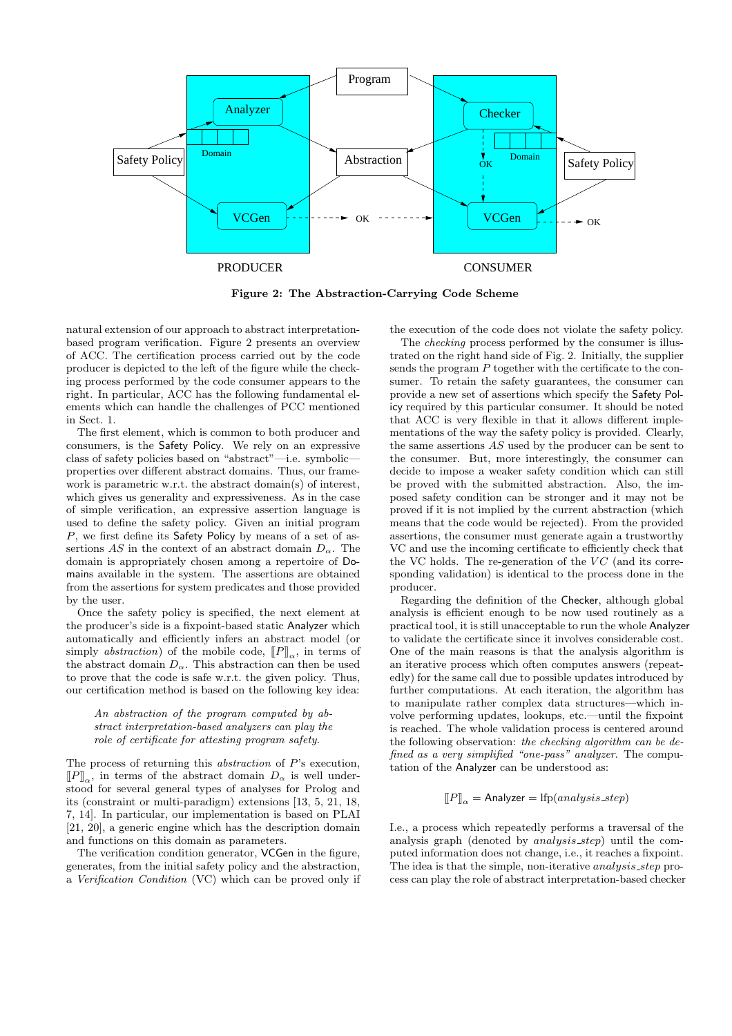

Figure 2: The Abstraction-Carrying Code Scheme

natural extension of our approach to abstract interpretationbased program verification. Figure 2 presents an overview of ACC. The certification process carried out by the code producer is depicted to the left of the figure while the checking process performed by the code consumer appears to the right. In particular, ACC has the following fundamental elements which can handle the challenges of PCC mentioned in Sect. 1.

The first element, which is common to both producer and consumers, is the Safety Policy. We rely on an expressive class of safety policies based on "abstract"—i.e. symbolic properties over different abstract domains. Thus, our framework is parametric w.r.t. the abstract domain(s) of interest, which gives us generality and expressiveness. As in the case of simple verification, an expressive assertion language is used to define the safety policy. Given an initial program P, we first define its Safety Policy by means of a set of assertions AS in the context of an abstract domain  $D_{\alpha}$ . The domain is appropriately chosen among a repertoire of Domains available in the system. The assertions are obtained from the assertions for system predicates and those provided by the user.

Once the safety policy is specified, the next element at the producer's side is a fixpoint-based static Analyzer which automatically and efficiently infers an abstract model (or simply *abstraction*) of the mobile code,  $[\![P]\!]_{\alpha}$ , in terms of the abstract domain  $D_{\alpha}$ . This abstraction can then be used to prove that the code is safe w.r.t. the given policy. Thus, our certification method is based on the following key idea:

An abstraction of the program computed by abstract interpretation-based analyzers can play the role of certificate for attesting program safety.

The process of returning this abstraction of P's execution,  $\llbracket P \rrbracket_{\alpha}$ , in terms of the abstract domain  $D_{\alpha}$  is well understood for several general types of analyses for Prolog and its (constraint or multi-paradigm) extensions [13, 5, 21, 18, 7, 14]. In particular, our implementation is based on PLAI [21, 20], a generic engine which has the description domain and functions on this domain as parameters.

The verification condition generator, VCGen in the figure, generates, from the initial safety policy and the abstraction, a Verification Condition (VC) which can be proved only if the execution of the code does not violate the safety policy.

The checking process performed by the consumer is illustrated on the right hand side of Fig. 2. Initially, the supplier sends the program  $P$  together with the certificate to the consumer. To retain the safety guarantees, the consumer can provide a new set of assertions which specify the Safety Policy required by this particular consumer. It should be noted that ACC is very flexible in that it allows different implementations of the way the safety policy is provided. Clearly, the same assertions AS used by the producer can be sent to the consumer. But, more interestingly, the consumer can decide to impose a weaker safety condition which can still be proved with the submitted abstraction. Also, the imposed safety condition can be stronger and it may not be proved if it is not implied by the current abstraction (which means that the code would be rejected). From the provided assertions, the consumer must generate again a trustworthy VC and use the incoming certificate to efficiently check that the VC holds. The re-generation of the  $VC$  (and its corresponding validation) is identical to the process done in the producer.

Regarding the definition of the Checker, although global analysis is efficient enough to be now used routinely as a practical tool, it is still unacceptable to run the whole Analyzer to validate the certificate since it involves considerable cost. One of the main reasons is that the analysis algorithm is an iterative process which often computes answers (repeatedly) for the same call due to possible updates introduced by further computations. At each iteration, the algorithm has to manipulate rather complex data structures—which involve performing updates, lookups, etc.—until the fixpoint is reached. The whole validation process is centered around the following observation: the checking algorithm can be defined as a very simplified "one-pass" analyzer. The computation of the Analyzer can be understood as:

#### $\llbracket P \rrbracket_{\alpha} =$  Analyzer = lfp(analysis\_step)

I.e., a process which repeatedly performs a traversal of the analysis graph (denoted by analysis step) until the computed information does not change, i.e., it reaches a fixpoint. The idea is that the simple, non-iterative *analysis step* process can play the role of abstract interpretation-based checker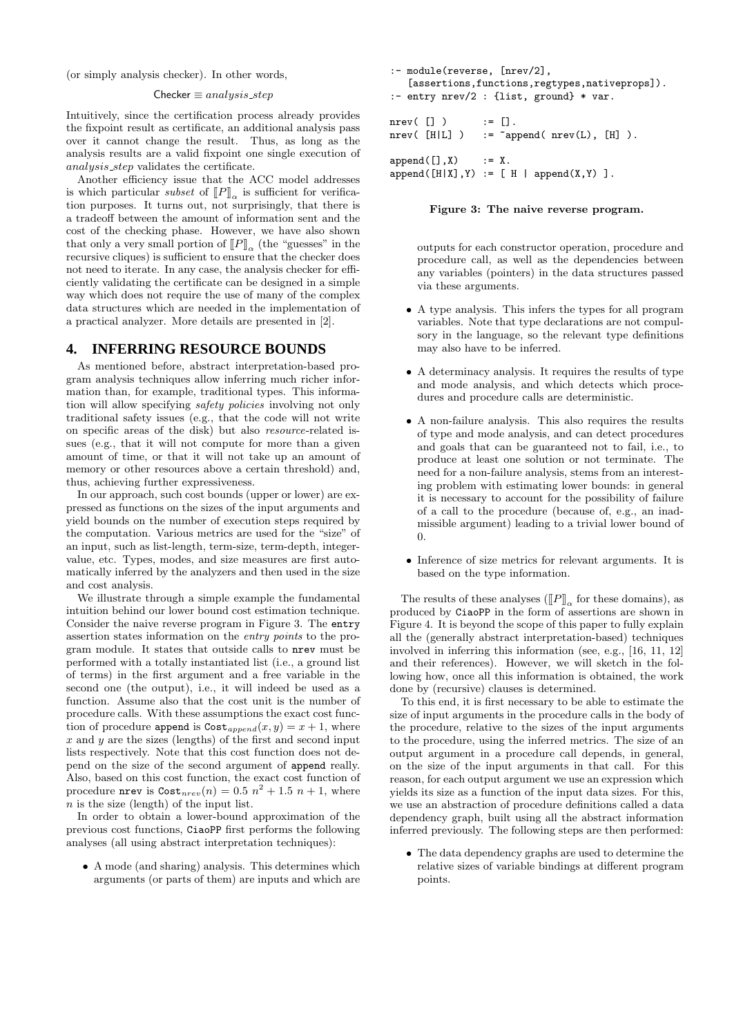(or simply analysis checker). In other words,

$$
\mathsf{Checker} \equiv analysis\_step
$$

Intuitively, since the certification process already provides the fixpoint result as certificate, an additional analysis pass over it cannot change the result. Thus, as long as the analysis results are a valid fixpoint one single execution of analysis step validates the certificate.

Another efficiency issue that the ACC model addresses is which particular *subset* of  $[P]_{{\alpha}}$  is sufficient for verification purposes. It turns out, not surprisingly, that there is a tradeoff between the amount of information sent and the cost of the checking phase. However, we have also shown that only a very small portion of  $[$ P $]_{\alpha}$  (the "guesses" in the recursive cliques) is sufficient to ensure that the checker does not need to iterate. In any case, the analysis checker for efficiently validating the certificate can be designed in a simple way which does not require the use of many of the complex data structures which are needed in the implementation of a practical analyzer. More details are presented in [2].

#### **4. INFERRING RESOURCE BOUNDS**

As mentioned before, abstract interpretation-based program analysis techniques allow inferring much richer information than, for example, traditional types. This information will allow specifying safety policies involving not only traditional safety issues (e.g., that the code will not write on specific areas of the disk) but also resource-related issues (e.g., that it will not compute for more than a given amount of time, or that it will not take up an amount of memory or other resources above a certain threshold) and, thus, achieving further expressiveness.

In our approach, such cost bounds (upper or lower) are expressed as functions on the sizes of the input arguments and yield bounds on the number of execution steps required by the computation. Various metrics are used for the "size" of an input, such as list-length, term-size, term-depth, integervalue, etc. Types, modes, and size measures are first automatically inferred by the analyzers and then used in the size and cost analysis.

We illustrate through a simple example the fundamental intuition behind our lower bound cost estimation technique. Consider the naive reverse program in Figure 3. The entry assertion states information on the entry points to the program module. It states that outside calls to nrev must be performed with a totally instantiated list (i.e., a ground list of terms) in the first argument and a free variable in the second one (the output), i.e., it will indeed be used as a function. Assume also that the cost unit is the number of procedure calls. With these assumptions the exact cost function of procedure append is  $\text{Cost}_{append}(x, y) = x + 1$ , where x and y are the sizes (lengths) of the first and second input lists respectively. Note that this cost function does not depend on the size of the second argument of append really. Also, based on this cost function, the exact cost function of procedure nrev is  $\texttt{Cost}_{nrev}(n) = 0.5 \ n^2 + 1.5 \ n + 1$ , where  $n$  is the size (length) of the input list.

In order to obtain a lower-bound approximation of the previous cost functions, CiaoPP first performs the following analyses (all using abstract interpretation techniques):

• A mode (and sharing) analysis. This determines which arguments (or parts of them) are inputs and which are

```
:- module(reverse, [nrev/2],
   [assertions,functions,regtypes,nativeprops]).
  entry nrev/2: {list, ground} * var.
nrev([]) := [].
nrev([H|L]) := "append(nrev(L), [H]).
append([], X) := X.
```
 $append([H|X],Y) := [H | append(X,Y)]$ .

#### Figure 3: The naive reverse program.

outputs for each constructor operation, procedure and procedure call, as well as the dependencies between any variables (pointers) in the data structures passed via these arguments.

- A type analysis. This infers the types for all program variables. Note that type declarations are not compulsory in the language, so the relevant type definitions may also have to be inferred.
- A determinacy analysis. It requires the results of type and mode analysis, and which detects which procedures and procedure calls are deterministic.
- A non-failure analysis. This also requires the results of type and mode analysis, and can detect procedures and goals that can be guaranteed not to fail, i.e., to produce at least one solution or not terminate. The need for a non-failure analysis, stems from an interesting problem with estimating lower bounds: in general it is necessary to account for the possibility of failure of a call to the procedure (because of, e.g., an inadmissible argument) leading to a trivial lower bound of  $\Omega$
- Inference of size metrics for relevant arguments. It is based on the type information.

The results of these analyses  $(\llbracket P \rrbracket_{\alpha}$  for these domains), as produced by CiaoPP in the form of assertions are shown in Figure 4. It is beyond the scope of this paper to fully explain all the (generally abstract interpretation-based) techniques involved in inferring this information (see, e.g., [16, 11, 12] and their references). However, we will sketch in the following how, once all this information is obtained, the work done by (recursive) clauses is determined.

To this end, it is first necessary to be able to estimate the size of input arguments in the procedure calls in the body of the procedure, relative to the sizes of the input arguments to the procedure, using the inferred metrics. The size of an output argument in a procedure call depends, in general, on the size of the input arguments in that call. For this reason, for each output argument we use an expression which yields its size as a function of the input data sizes. For this, we use an abstraction of procedure definitions called a data dependency graph, built using all the abstract information inferred previously. The following steps are then performed:

• The data dependency graphs are used to determine the relative sizes of variable bindings at different program points.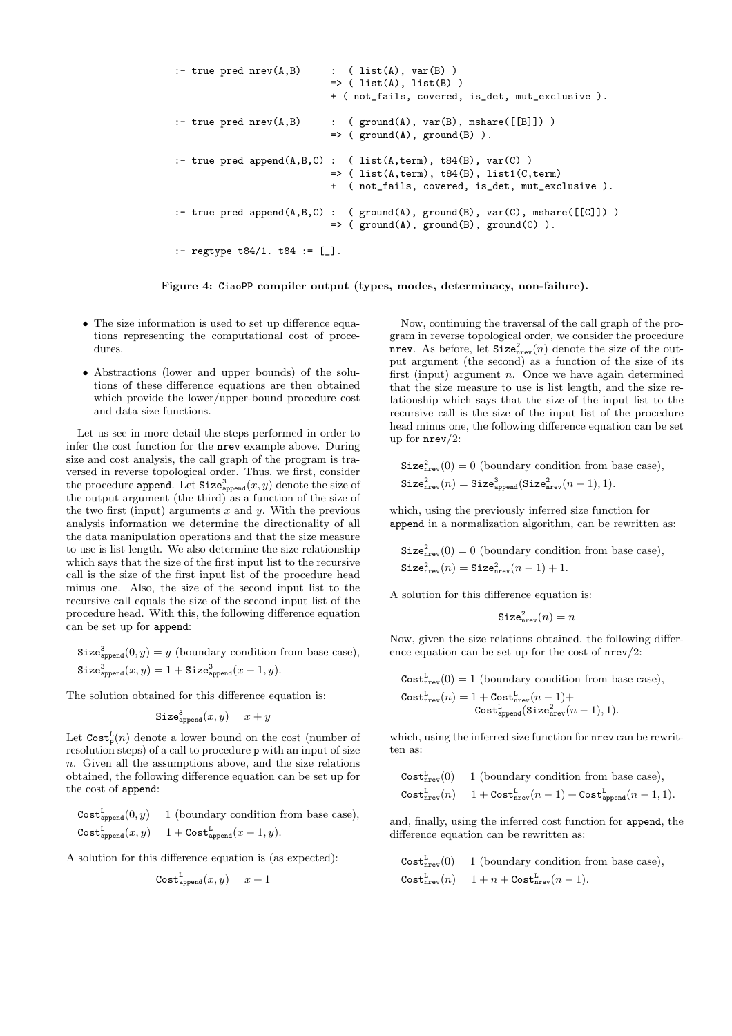```
: true pred nrev(A,B) : ( list(A), var(B) )
                           \Rightarrow ( list(A), list(B))
                           + ( not_fails, covered, is_det, mut_exclusive ).
:- true pred nrev(A,B) : ( ground(A), var(B), mshare([B]]) )
                           \Rightarrow ( ground(A), ground(B)).
:- true pred append(A,B,C) : ( list(A,term), t84(B), var(C) )
                           => ( list(A,term), t84(B), list1(C,term)
                           + ( not_fails, covered, is_det, mut_exclusive ).
:- true pred append(A, B, C) : ( ground(A), ground(B), var(C), mshare([C]])
                           \Rightarrow ( ground(A), ground(B), ground(C)).
:- regtype t84/1. t84 := [_].
```
Figure 4: CiaoPP compiler output (types, modes, determinacy, non-failure).

- The size information is used to set up difference equations representing the computational cost of procedures.
- Abstractions (lower and upper bounds) of the solutions of these difference equations are then obtained which provide the lower/upper-bound procedure cost and data size functions.

Let us see in more detail the steps performed in order to infer the cost function for the nrev example above. During size and cost analysis, the call graph of the program is traversed in reverse topological order. Thus, we first, consider the procedure append. Let  $\texttt{Size}_{\texttt{append}}^3(x, y)$  denote the size of the output argument (the third) as a function of the size of the two first (input) arguments  $x$  and  $y$ . With the previous analysis information we determine the directionality of all the data manipulation operations and that the size measure to use is list length. We also determine the size relationship which says that the size of the first input list to the recursive call is the size of the first input list of the procedure head minus one. Also, the size of the second input list to the recursive call equals the size of the second input list of the procedure head. With this, the following difference equation can be set up for append:

$$
Size3append(0, y) = y (boundary condition from base case),
$$
  
\n
$$
Size3append(x, y) = 1 + Size3append(x - 1, y).
$$

The solution obtained for this difference equation is:

$$
\texttt{Size}^3_{\texttt{append}}(x, y) = x + y
$$

Let  $\text{Cost}_p^L(n)$  denote a lower bound on the cost (number of resolution steps) of a call to procedure p with an input of size n. Given all the assumptions above, and the size relations obtained, the following difference equation can be set up for the cost of append:

$$
Cost_{\text{append}}^L(0, y) = 1 \text{ (boundary condition from base case)},
$$
  

$$
Cost_{\text{append}}^L(x, y) = 1 + Cost_{\text{append}}^L(x - 1, y).
$$

A solution for this difference equation is (as expected):

$$
\mathtt{Cost}^\mathtt{L}_{\mathtt{append}}(x,y) = x+1
$$

Now, continuing the traversal of the call graph of the program in reverse topological order, we consider the procedure nrev. As before, let  $Size<sub>new</sub><sup>2</sup>(n)$  denote the size of the output argument (the second) as a function of the size of its first (input) argument  $n$ . Once we have again determined that the size measure to use is list length, and the size relationship which says that the size of the input list to the recursive call is the size of the input list of the procedure head minus one, the following difference equation can be set up for nrev/2:

$$
\begin{aligned} &\texttt{Size}_{\texttt{mrev}}^2(0) = 0 \text{ (boundary condition from base case)},\\ &\texttt{Size}_{\texttt{mrev}}^2(n) = \texttt{Size}_{\texttt{append}}^2(\texttt{Size}_{\texttt{mrev}}^2(n-1), 1). \end{aligned}
$$

which, using the previously inferred size function for append in a normalization algorithm, can be rewritten as:

$$
Sizenew2(0) = 0 (boundary condition from base case),
$$
  
\n
$$
Sizenew2(n) = Sizenew2(n-1) + 1.
$$

A solution for this difference equation is:

$$
\mathtt{Size}_{\mathtt{nrev}}^2(n) = n
$$

Now, given the size relations obtained, the following difference equation can be set up for the cost of nrev/2:

$$
\begin{aligned} &\mathbf{Cost}_{\mathbf{nrev}}^{\mathbf{L}}(0) = 1 \text{ (boundary condition from base case)},\\ &\mathbf{Cost}_{\mathbf{nrev}}^{\mathbf{L}}(n) = 1 + \mathbf{Cost}_{\mathbf{nrev}}^{\mathbf{L}}(n-1) + \\ &\mathbf{Cost}_{\mathbf{nppend}}^{\mathbf{L}}(\mathbf{Size}_{\mathbf{nrev}}^{\mathbf{L}}(n-1), 1). \end{aligned}
$$

which, using the inferred size function for nrev can be rewritten as:

$$
\begin{aligned} \text{Cost}_{\text{new}}^{\text{L}}(0) &= 1 \text{ (boundary condition from base case)},\\ \text{Cost}_{\text{new}}^{\text{L}}(n) &= 1 + \text{Cost}_{\text{new}}^{\text{L}}(n-1) + \text{Cost}_{\text{append}}^{\text{L}}(n-1, 1). \end{aligned}
$$

and, finally, using the inferred cost function for append, the difference equation can be rewritten as:

 $\text{Cost}^{\text{L}}_{\text{nrev}}(0) = 1$  (boundary condition from base case),  $\texttt{Cost}^{\texttt{L}}_{\texttt{nrev}}(n) = 1 + n + \texttt{Cost}^{\texttt{L}}_{\texttt{nrev}}(n-1).$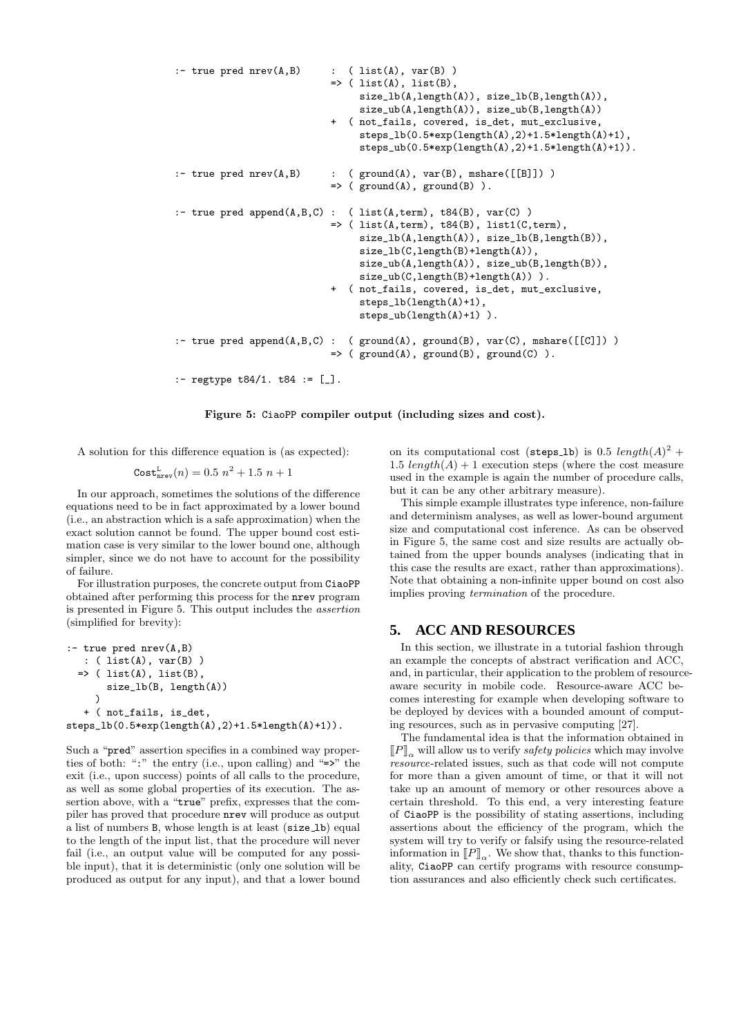```
:- true pred nrev(A,B) : ( list(A), var(B))
                            \Rightarrow ( list(A), list(B),
                                 size_lb(A,length(A)), size_lb(B,length(A)),
                                 size_ub(A,length(A)), size_ub(B,length(A))
                            + ( not_fails, covered, is_det, mut_exclusive,
                                 steps_1b(0.5*exp(length(A),2)+1.5*length(A)+1),steps_ub(0.5*exp(length(A),2)+1.5*length(A)+1)).
: true pred nrev(A,B) : ( ground(A), var(B), mshare([B]]) )
                            \Rightarrow ( ground(A), ground(B)).
:- true pred append(A,B,C) : ( list(A,term), t84(B), var(C) )
                            \Rightarrow ( list(A,term), t84(B), list1(C,term),
                                 size_lb(A,length(A)), size_lb(B,length(B)),
                                 size_lb(C,length(B)+length(A)),
                                 size_ub(A,length(A)), size_ub(B,length(B)),
                                 size_ub(C,length(B)+length(A))).
                             ( not_fails, covered, is_det, mut_exclusive,
                                 steps_lb(length(A)+1),
                                 steps_ub(length(A)+1) ).
:- true pred append(A,B,C) : ( ground(A), ground(B), var(C), mshare([[C]]) )
                            \Rightarrow ( ground(A), ground(B), ground(C)).
:- regtype t84/1. t84 := [_].
```
Figure 5: CiaoPP compiler output (including sizes and cost).

A solution for this difference equation is (as expected):

 $\texttt{Cost}^{\texttt{L}}_{\texttt{nrev}}(n) = 0.5 \ n^2 + 1.5 \ n + 1$ 

In our approach, sometimes the solutions of the difference equations need to be in fact approximated by a lower bound (i.e., an abstraction which is a safe approximation) when the exact solution cannot be found. The upper bound cost estimation case is very similar to the lower bound one, although simpler, since we do not have to account for the possibility of failure.

For illustration purposes, the concrete output from CiaoPP obtained after performing this process for the nrev program is presented in Figure 5. This output includes the assertion (simplified for brevity):

```
:- true pred nrev(A,B)
   : ( list(A), var(B) )
  \Rightarrow ( list(A), list(B),
       size_lb(B, length(A))
     )
   + ( not_fails, is_det,
steps_lb(0.5*exp(length(A),2)+1.5*length(A)+1)).
```
Such a "pred" assertion specifies in a combined way properties of both: ":" the entry (i.e., upon calling) and " $\Rightarrow$ " the exit (i.e., upon success) points of all calls to the procedure, as well as some global properties of its execution. The assertion above, with a "true" prefix, expresses that the compiler has proved that procedure nrev will produce as output a list of numbers B, whose length is at least (size lb) equal to the length of the input list, that the procedure will never fail (i.e., an output value will be computed for any possible input), that it is deterministic (only one solution will be produced as output for any input), and that a lower bound on its computational cost (steps\_1b) is 0.5  $length(A)^2 +$ 1.5  $length(A) + 1$  execution steps (where the cost measure used in the example is again the number of procedure calls, but it can be any other arbitrary measure).

This simple example illustrates type inference, non-failure and determinism analyses, as well as lower-bound argument size and computational cost inference. As can be observed in Figure 5, the same cost and size results are actually obtained from the upper bounds analyses (indicating that in this case the results are exact, rather than approximations). Note that obtaining a non-infinite upper bound on cost also implies proving termination of the procedure.

# **5. ACC AND RESOURCES**

In this section, we illustrate in a tutorial fashion through an example the concepts of abstract verification and ACC, and, in particular, their application to the problem of resourceaware security in mobile code. Resource-aware ACC becomes interesting for example when developing software to be deployed by devices with a bounded amount of computing resources, such as in pervasive computing [27].

The fundamental idea is that the information obtained in  $[$ [P]] $]$ <sub>α</sub> will allow us to verify *safety policies* which may involve resource-related issues, such as that code will not compute for more than a given amount of time, or that it will not take up an amount of memory or other resources above a certain threshold. To this end, a very interesting feature of CiaoPP is the possibility of stating assertions, including assertions about the efficiency of the program, which the system will try to verify or falsify using the resource-related information in  $[$ P $]_{\alpha}$ . We show that, thanks to this functionality, CiaoPP can certify programs with resource consumption assurances and also efficiently check such certificates.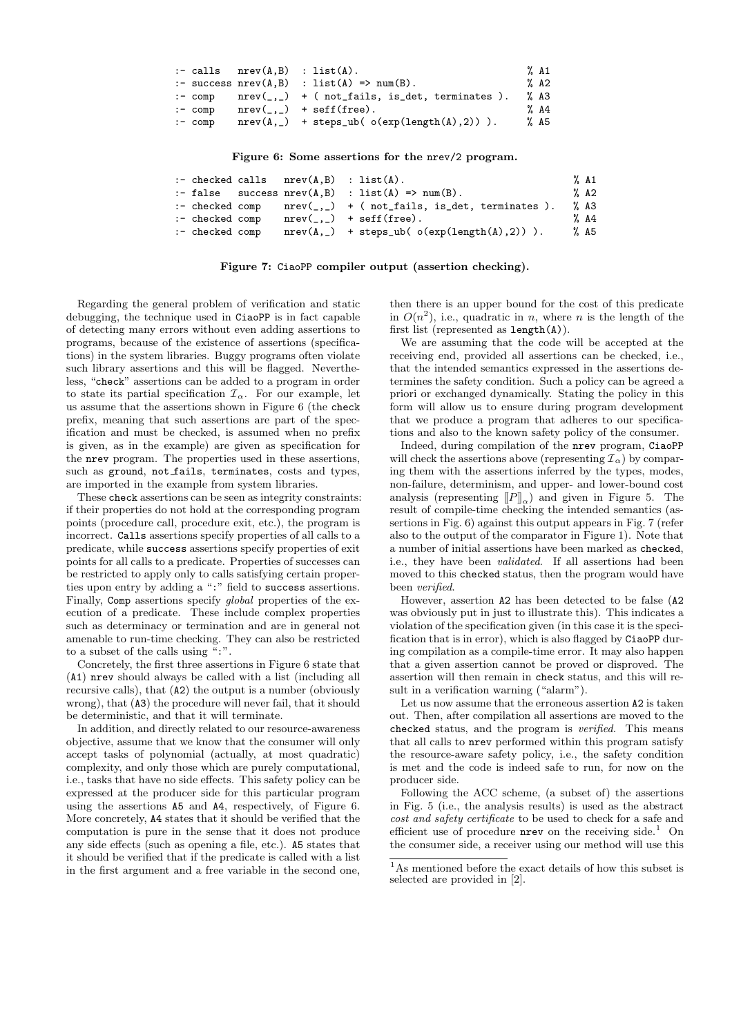|          | $:$ calls $nrev(A,B)$ : list(A). |                                                        | $%$ A1  |  |
|----------|----------------------------------|--------------------------------------------------------|---------|--|
|          |                                  | $:$ success nrev $(A, B)$ : list $(A)$ => num $(B)$ .  | $\%$ A2 |  |
|          |                                  | :- comp $nrev(\_2)$ + (not_fails, is_det, terminates). | $\%$ A3 |  |
| : – comp |                                  | $nrev(\_,\_)$ + seff(free).                            | % A4    |  |
| : – comp |                                  | $nrev(A, )$ + steps_ub( $o(exp(length(A), 2))$ ).      | $%$ A5  |  |

Figure 6: Some assertions for the nrev/2 program.

|                 | :- checked calls $nrev(A, B)$ : list(A). |                                                                 | $%$ A1  |
|-----------------|------------------------------------------|-----------------------------------------------------------------|---------|
|                 |                                          | :- false success $nrev(A, B)$ : list(A) => $num(B)$ .           | $\%$ A2 |
|                 |                                          | :- checked comp $nrev(\_,-)$ + (not fails, is det, terminates). | $%$ A3  |
| :- checked comp |                                          | $nrev(\_,\_)$ + seff(free).                                     | % A4    |
| :- checked comp |                                          | $nrev(A, )$ + steps_ub( $o(exp(length(A), 2))$ ).               | % A5    |



Regarding the general problem of verification and static debugging, the technique used in CiaoPP is in fact capable of detecting many errors without even adding assertions to programs, because of the existence of assertions (specifications) in the system libraries. Buggy programs often violate such library assertions and this will be flagged. Nevertheless, "check" assertions can be added to a program in order to state its partial specification  $\mathcal{I}_{\alpha}$ . For our example, let us assume that the assertions shown in Figure 6 (the check prefix, meaning that such assertions are part of the specification and must be checked, is assumed when no prefix is given, as in the example) are given as specification for the nrev program. The properties used in these assertions, such as ground, not fails, terminates, costs and types, are imported in the example from system libraries.

These check assertions can be seen as integrity constraints: if their properties do not hold at the corresponding program points (procedure call, procedure exit, etc.), the program is incorrect. Calls assertions specify properties of all calls to a predicate, while success assertions specify properties of exit points for all calls to a predicate. Properties of successes can be restricted to apply only to calls satisfying certain properties upon entry by adding a ":" field to success assertions. Finally, Comp assertions specify global properties of the execution of a predicate. These include complex properties such as determinacy or termination and are in general not amenable to run-time checking. They can also be restricted to a subset of the calls using ":".

Concretely, the first three assertions in Figure 6 state that (A1) nrev should always be called with a list (including all recursive calls), that (A2) the output is a number (obviously wrong), that (A3) the procedure will never fail, that it should be deterministic, and that it will terminate.

In addition, and directly related to our resource-awareness objective, assume that we know that the consumer will only accept tasks of polynomial (actually, at most quadratic) complexity, and only those which are purely computational, i.e., tasks that have no side effects. This safety policy can be expressed at the producer side for this particular program using the assertions A5 and A4, respectively, of Figure 6. More concretely, A4 states that it should be verified that the computation is pure in the sense that it does not produce any side effects (such as opening a file, etc.). A5 states that it should be verified that if the predicate is called with a list in the first argument and a free variable in the second one,

then there is an upper bound for the cost of this predicate in  $O(n^2)$ , i.e., quadratic in n, where n is the length of the first list (represented as length(A)).

We are assuming that the code will be accepted at the receiving end, provided all assertions can be checked, i.e., that the intended semantics expressed in the assertions determines the safety condition. Such a policy can be agreed a priori or exchanged dynamically. Stating the policy in this form will allow us to ensure during program development that we produce a program that adheres to our specifications and also to the known safety policy of the consumer.

Indeed, during compilation of the nrev program, CiaoPP will check the assertions above (representing  $\mathcal{I}_{\alpha}$ ) by comparing them with the assertions inferred by the types, modes, non-failure, determinism, and upper- and lower-bound cost analysis (representing  $[$ [P] $]_{\alpha}$ ) and given in Figure 5. The result of compile-time checking the intended semantics (assertions in Fig. 6) against this output appears in Fig. 7 (refer also to the output of the comparator in Figure 1). Note that a number of initial assertions have been marked as checked, i.e., they have been validated. If all assertions had been moved to this checked status, then the program would have been verified.

However, assertion A2 has been detected to be false (A2 was obviously put in just to illustrate this). This indicates a violation of the specification given (in this case it is the specification that is in error), which is also flagged by CiaoPP during compilation as a compile-time error. It may also happen that a given assertion cannot be proved or disproved. The assertion will then remain in check status, and this will result in a verification warning ("alarm").

Let us now assume that the erroneous assertion A2 is taken out. Then, after compilation all assertions are moved to the checked status, and the program is verified. This means that all calls to nrev performed within this program satisfy the resource-aware safety policy, i.e., the safety condition is met and the code is indeed safe to run, for now on the producer side.

Following the ACC scheme, (a subset of) the assertions in Fig. 5 (i.e., the analysis results) is used as the abstract cost and safety certificate to be used to check for a safe and efficient use of procedure **nrev** on the receiving side.<sup>1</sup> On the consumer side, a receiver using our method will use this

<sup>1</sup>As mentioned before the exact details of how this subset is selected are provided in [2].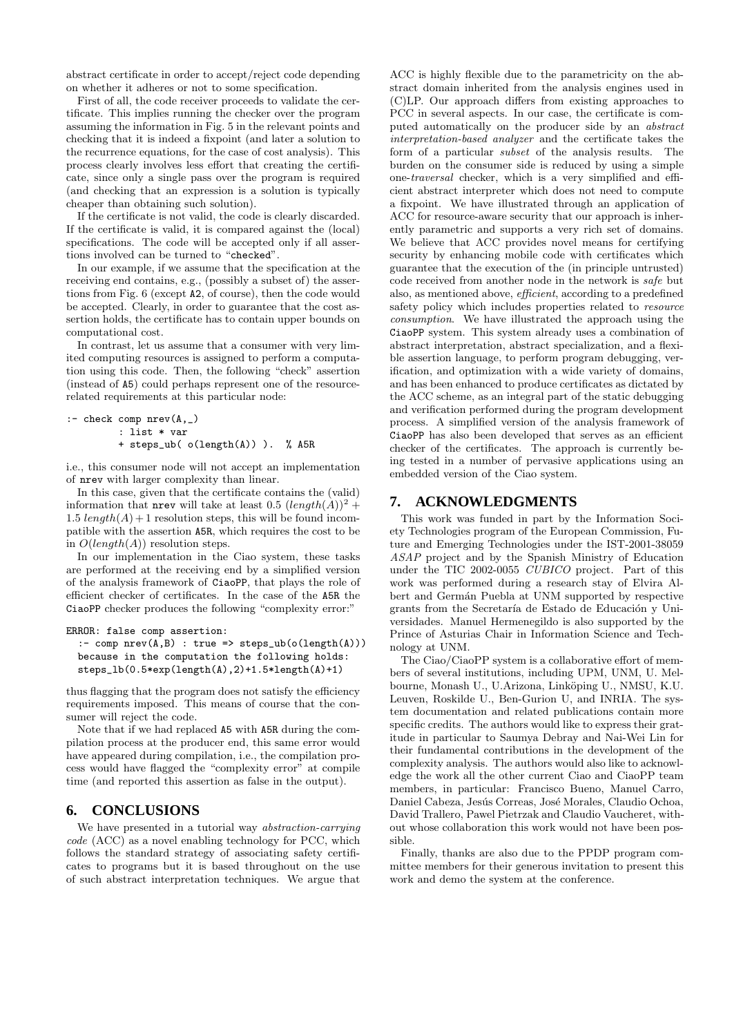abstract certificate in order to accept/reject code depending on whether it adheres or not to some specification.

First of all, the code receiver proceeds to validate the certificate. This implies running the checker over the program assuming the information in Fig. 5 in the relevant points and checking that it is indeed a fixpoint (and later a solution to the recurrence equations, for the case of cost analysis). This process clearly involves less effort that creating the certificate, since only a single pass over the program is required (and checking that an expression is a solution is typically cheaper than obtaining such solution).

If the certificate is not valid, the code is clearly discarded. If the certificate is valid, it is compared against the (local) specifications. The code will be accepted only if all assertions involved can be turned to "checked".

In our example, if we assume that the specification at the receiving end contains, e.g., (possibly a subset of) the assertions from Fig. 6 (except A2, of course), then the code would be accepted. Clearly, in order to guarantee that the cost assertion holds, the certificate has to contain upper bounds on computational cost.

In contrast, let us assume that a consumer with very limited computing resources is assigned to perform a computation using this code. Then, the following "check" assertion (instead of A5) could perhaps represent one of the resourcerelated requirements at this particular node:

```
: - check comp nrev(A, ): list * var
        + steps_ub( o(length(A)) ). % A5R
```
i.e., this consumer node will not accept an implementation of nrev with larger complexity than linear.

In this case, given that the certificate contains the (valid) information that **nrev** will take at least  $0.5$   $(length(A))^2 +$ 1.5  $length(A) + 1$  resolution steps, this will be found incompatible with the assertion A5R, which requires the cost to be in  $O(length(A))$  resolution steps.

In our implementation in the Ciao system, these tasks are performed at the receiving end by a simplified version of the analysis framework of CiaoPP, that plays the role of efficient checker of certificates. In the case of the A5R the CiaoPP checker produces the following "complexity error:"

```
ERROR: false comp assertion:
  :- comp nrev(A,B) : true => steps_ub(o(length(A)))
  because in the computation the following holds:
  steps_lb(0.5*exp(length(A),2)+1.5*length(A)+1)
```
thus flagging that the program does not satisfy the efficiency requirements imposed. This means of course that the consumer will reject the code.

Note that if we had replaced A5 with A5R during the compilation process at the producer end, this same error would have appeared during compilation, i.e., the compilation process would have flagged the "complexity error" at compile time (and reported this assertion as false in the output).

# **6. CONCLUSIONS**

We have presented in a tutorial way *abstraction-carrying* code (ACC) as a novel enabling technology for PCC, which follows the standard strategy of associating safety certificates to programs but it is based throughout on the use of such abstract interpretation techniques. We argue that

ACC is highly flexible due to the parametricity on the abstract domain inherited from the analysis engines used in (C)LP. Our approach differs from existing approaches to PCC in several aspects. In our case, the certificate is computed automatically on the producer side by an abstract interpretation-based analyzer and the certificate takes the form of a particular subset of the analysis results. The burden on the consumer side is reduced by using a simple one-traversal checker, which is a very simplified and efficient abstract interpreter which does not need to compute a fixpoint. We have illustrated through an application of ACC for resource-aware security that our approach is inherently parametric and supports a very rich set of domains. We believe that ACC provides novel means for certifying security by enhancing mobile code with certificates which guarantee that the execution of the (in principle untrusted) code received from another node in the network is safe but also, as mentioned above, efficient, according to a predefined safety policy which includes properties related to *resource* consumption. We have illustrated the approach using the CiaoPP system. This system already uses a combination of abstract interpretation, abstract specialization, and a flexible assertion language, to perform program debugging, verification, and optimization with a wide variety of domains, and has been enhanced to produce certificates as dictated by the ACC scheme, as an integral part of the static debugging and verification performed during the program development process. A simplified version of the analysis framework of CiaoPP has also been developed that serves as an efficient checker of the certificates. The approach is currently being tested in a number of pervasive applications using an embedded version of the Ciao system.

## **7. ACKNOWLEDGMENTS**

This work was funded in part by the Information Society Technologies program of the European Commission, Future and Emerging Technologies under the IST-2001-38059 ASAP project and by the Spanish Ministry of Education under the TIC 2002-0055 CUBICO project. Part of this work was performed during a research stay of Elvira Albert and Germán Puebla at UNM supported by respective grants from the Secretaría de Estado de Educación y Universidades. Manuel Hermenegildo is also supported by the Prince of Asturias Chair in Information Science and Technology at UNM.

The Ciao/CiaoPP system is a collaborative effort of members of several institutions, including UPM, UNM, U. Melbourne, Monash U., U.Arizona, Linköping U., NMSU, K.U. Leuven, Roskilde U., Ben-Gurion U, and INRIA. The system documentation and related publications contain more specific credits. The authors would like to express their gratitude in particular to Saumya Debray and Nai-Wei Lin for their fundamental contributions in the development of the complexity analysis. The authors would also like to acknowledge the work all the other current Ciao and CiaoPP team members, in particular: Francisco Bueno, Manuel Carro, Daniel Cabeza, Jesús Correas, José Morales, Claudio Ochoa, David Trallero, Pawel Pietrzak and Claudio Vaucheret, without whose collaboration this work would not have been possible.

Finally, thanks are also due to the PPDP program committee members for their generous invitation to present this work and demo the system at the conference.